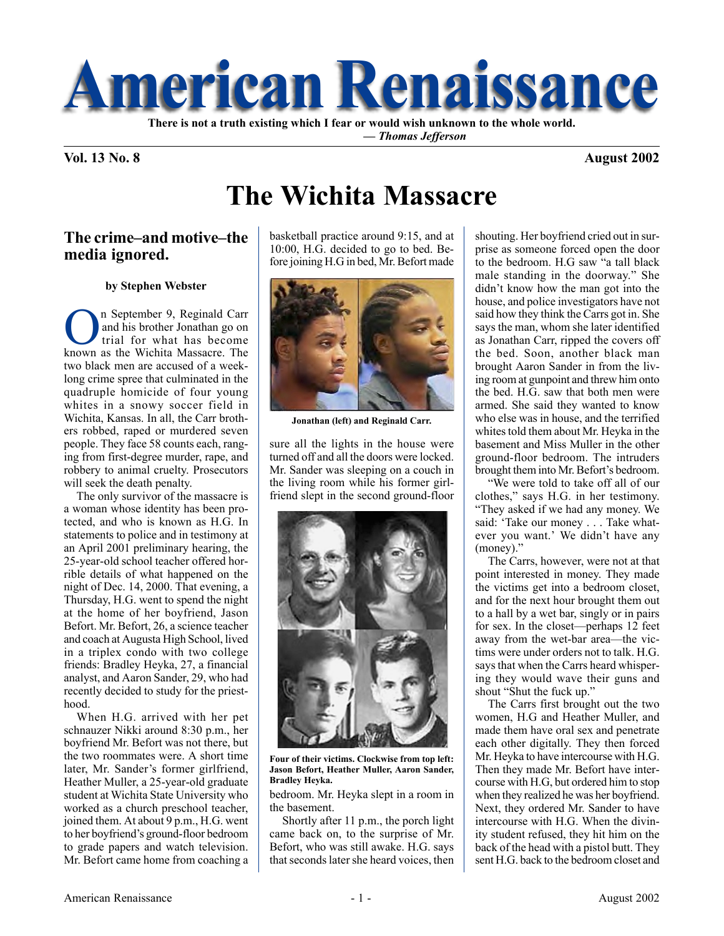

 **—** *Thomas Jefferson*

### **Vol. 13 No. 8 August 2002**

# **The Wichita Massacre**

### **The crime–and motive–the media ignored.**

#### **by Stephen Webster**

n September 9, Reginald Carr and his brother Jonathan go on trial for what has become known as the Wichita Massacre. The two black men are accused of a weeklong crime spree that culminated in the quadruple homicide of four young whites in a snowy soccer field in Wichita, Kansas. In all, the Carr brothers robbed, raped or murdered seven people. They face 58 counts each, ranging from first-degree murder, rape, and robbery to animal cruelty. Prosecutors will seek the death penalty.

The only survivor of the massacre is a woman whose identity has been protected, and who is known as H.G. In statements to police and in testimony at an April 2001 preliminary hearing, the 25-year-old school teacher offered horrible details of what happened on the night of Dec. 14, 2000. That evening, a Thursday, H.G. went to spend the night at the home of her boyfriend, Jason Befort. Mr. Befort, 26, a science teacher and coach at Augusta High School, lived in a triplex condo with two college friends: Bradley Heyka, 27, a financial analyst, and Aaron Sander, 29, who had recently decided to study for the priesthood.

When H.G. arrived with her pet schnauzer Nikki around 8:30 p.m., her boyfriend Mr. Befort was not there, but the two roommates were. A short time later, Mr. Sander's former girlfriend, Heather Muller, a 25-year-old graduate student at Wichita State University who worked as a church preschool teacher, joined them. At about 9 p.m., H.G. went to her boyfriend's ground-floor bedroom to grade papers and watch television. Mr. Befort came home from coaching a

basketball practice around 9:15, and at 10:00, H.G. decided to go to bed. Before joining H.G in bed, Mr. Befort made



**Jonathan (left) and Reginald Carr.**

sure all the lights in the house were turned off and all the doors were locked. Mr. Sander was sleeping on a couch in the living room while his former girlfriend slept in the second ground-floor



**Four of their victims. Clockwise from top left: Jason Befort, Heather Muller, Aaron Sander, Bradley Heyka.**

bedroom. Mr. Heyka slept in a room in the basement.

Shortly after 11 p.m., the porch light came back on, to the surprise of Mr. Befort, who was still awake. H.G. says that seconds later she heard voices, then shouting. Her boyfriend cried out in surprise as someone forced open the door to the bedroom. H.G saw "a tall black male standing in the doorway." She didn't know how the man got into the house, and police investigators have not said how they think the Carrs got in. She says the man, whom she later identified as Jonathan Carr, ripped the covers off the bed. Soon, another black man brought Aaron Sander in from the living room at gunpoint and threw him onto the bed. H.G. saw that both men were armed. She said they wanted to know who else was in house, and the terrified whites told them about Mr. Heyka in the basement and Miss Muller in the other ground-floor bedroom. The intruders brought them into Mr. Befort's bedroom.

"We were told to take off all of our clothes," says H.G. in her testimony. "They asked if we had any money. We said: 'Take our money . . . Take whatever you want.' We didn't have any (money)."

The Carrs, however, were not at that point interested in money. They made the victims get into a bedroom closet, and for the next hour brought them out to a hall by a wet bar, singly or in pairs for sex. In the closet—perhaps 12 feet away from the wet-bar area—the victims were under orders not to talk. H.G. says that when the Carrs heard whispering they would wave their guns and shout "Shut the fuck up."

The Carrs first brought out the two women, H.G and Heather Muller, and made them have oral sex and penetrate each other digitally. They then forced Mr. Heyka to have intercourse with H.G. Then they made Mr. Befort have intercourse with H.G, but ordered him to stop when they realized he was her boyfriend. Next, they ordered Mr. Sander to have intercourse with H.G. When the divinity student refused, they hit him on the back of the head with a pistol butt. They sent H.G. back to the bedroom closet and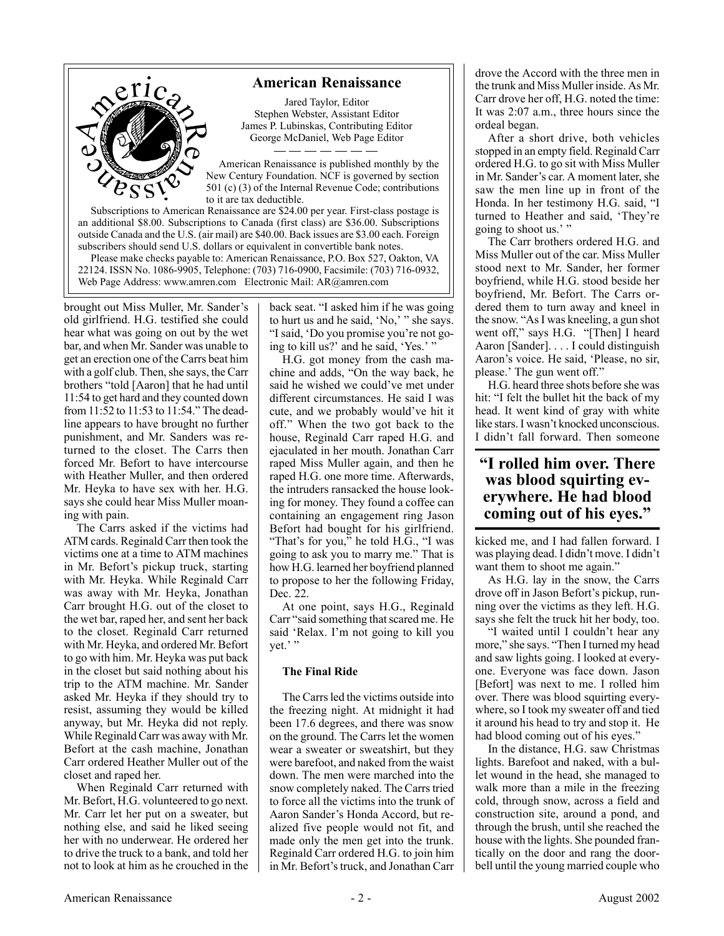### **American Renaissance**



Jared Taylor, Editor Stephen Webster, Assistant Editor James P. Lubinskas, Contributing Editor George McDaniel, Web Page Editor

American Renaissance is published monthly by the New Century Foundation. NCF is governed by section 501 (c) (3) of the Internal Revenue Code; contributions to it are tax deductible.

Subscriptions to American Renaissance are \$24.00 per year. First-class postage is an additional \$8.00. Subscriptions to Canada (first class) are \$36.00. Subscriptions outside Canada and the U.S. (air mail) are \$40.00. Back issues are \$3.00 each. Foreign subscribers should send U.S. dollars or equivalent in convertible bank notes.

Please make checks payable to: American Renaissance, P.O. Box 527, Oakton, VA 22124. ISSN No. 1086-9905, Telephone: (703) 716-0900, Facsimile: (703) 716-0932, Web Page Address: www.amren.com Electronic Mail: AR@amren.com

brought out Miss Muller, Mr. Sander's old girlfriend. H.G. testified she could hear what was going on out by the wet bar, and when Mr. Sander was unable to get an erection one of the Carrs beat him with a golf club. Then, she says, the Carr brothers "told [Aaron] that he had until 11:54 to get hard and they counted down from 11:52 to 11:53 to 11:54." The deadline appears to have brought no further punishment, and Mr. Sanders was returned to the closet. The Carrs then forced Mr. Befort to have intercourse with Heather Muller, and then ordered Mr. Heyka to have sex with her. H.G. says she could hear Miss Muller moaning with pain.

The Carrs asked if the victims had ATM cards. Reginald Carr then took the victims one at a time to ATM machines in Mr. Befort's pickup truck, starting with Mr. Heyka. While Reginald Carr was away with Mr. Heyka, Jonathan Carr brought H.G. out of the closet to the wet bar, raped her, and sent her back to the closet. Reginald Carr returned with Mr. Heyka, and ordered Mr. Befort to go with him. Mr. Heyka was put back in the closet but said nothing about his trip to the ATM machine. Mr. Sander asked Mr. Heyka if they should try to resist, assuming they would be killed anyway, but Mr. Heyka did not reply. While Reginald Carr was away with Mr. Befort at the cash machine, Jonathan Carr ordered Heather Muller out of the closet and raped her.

When Reginald Carr returned with Mr. Befort, H.G. volunteered to go next. Mr. Carr let her put on a sweater, but nothing else, and said he liked seeing her with no underwear. He ordered her to drive the truck to a bank, and told her not to look at him as he crouched in the back seat. "I asked him if he was going to hurt us and he said, 'No,' " she says. "I said, 'Do you promise you're not going to kill us?' and he said, 'Yes.' "

H.G. got money from the cash machine and adds, "On the way back, he said he wished we could've met under different circumstances. He said I was cute, and we probably would've hit it off." When the two got back to the house, Reginald Carr raped H.G. and ejaculated in her mouth. Jonathan Carr raped Miss Muller again, and then he raped H.G. one more time. Afterwards, the intruders ransacked the house looking for money. They found a coffee can containing an engagement ring Jason Befort had bought for his girlfriend. "That's for you," he told H.G., "I was going to ask you to marry me." That is how H.G. learned her boyfriend planned to propose to her the following Friday, Dec. 22.

At one point, says H.G., Reginald Carr "said something that scared me. He said 'Relax. I'm not going to kill you yet.' "

#### **The Final Ride**

The Carrs led the victims outside into the freezing night. At midnight it had been 17.6 degrees, and there was snow on the ground. The Carrs let the women wear a sweater or sweatshirt, but they were barefoot, and naked from the waist down. The men were marched into the snow completely naked. The Carrs tried to force all the victims into the trunk of Aaron Sander's Honda Accord, but realized five people would not fit, and made only the men get into the trunk. Reginald Carr ordered H.G. to join him in Mr. Befort's truck, and Jonathan Carr drove the Accord with the three men in the trunk and Miss Muller inside. As Mr. Carr drove her off, H.G. noted the time: It was 2:07 a.m., three hours since the ordeal began.

After a short drive, both vehicles stopped in an empty field. Reginald Carr ordered H.G. to go sit with Miss Muller in Mr. Sander's car. A moment later, she saw the men line up in front of the Honda. In her testimony H.G. said, "I turned to Heather and said, 'They're going to shoot us.' "

The Carr brothers ordered H.G. and Miss Muller out of the car. Miss Muller stood next to Mr. Sander, her former boyfriend, while H.G. stood beside her boyfriend, Mr. Befort. The Carrs ordered them to turn away and kneel in the snow. "As I was kneeling, a gun shot went off," says H.G. "[Then] I heard Aaron [Sander]. . . . I could distinguish Aaron's voice. He said, 'Please, no sir, please.' The gun went off."

H.G. heard three shots before she was hit: "I felt the bullet hit the back of my head. It went kind of gray with white like stars. I wasn't knocked unconscious. I didn't fall forward. Then someone

# **"I rolled him over. There was blood squirting everywhere. He had blood coming out of his eyes."**

kicked me, and I had fallen forward. I was playing dead. I didn't move. I didn't want them to shoot me again."

As H.G. lay in the snow, the Carrs drove off in Jason Befort's pickup, running over the victims as they left. H.G. says she felt the truck hit her body, too.

"I waited until I couldn't hear any more," she says. "Then I turned my head and saw lights going. I looked at everyone. Everyone was face down. Jason [Befort] was next to me. I rolled him over. There was blood squirting everywhere, so I took my sweater off and tied it around his head to try and stop it. He had blood coming out of his eyes."

In the distance, H.G. saw Christmas lights. Barefoot and naked, with a bullet wound in the head, she managed to walk more than a mile in the freezing cold, through snow, across a field and construction site, around a pond, and through the brush, until she reached the house with the lights. She pounded frantically on the door and rang the doorbell until the young married couple who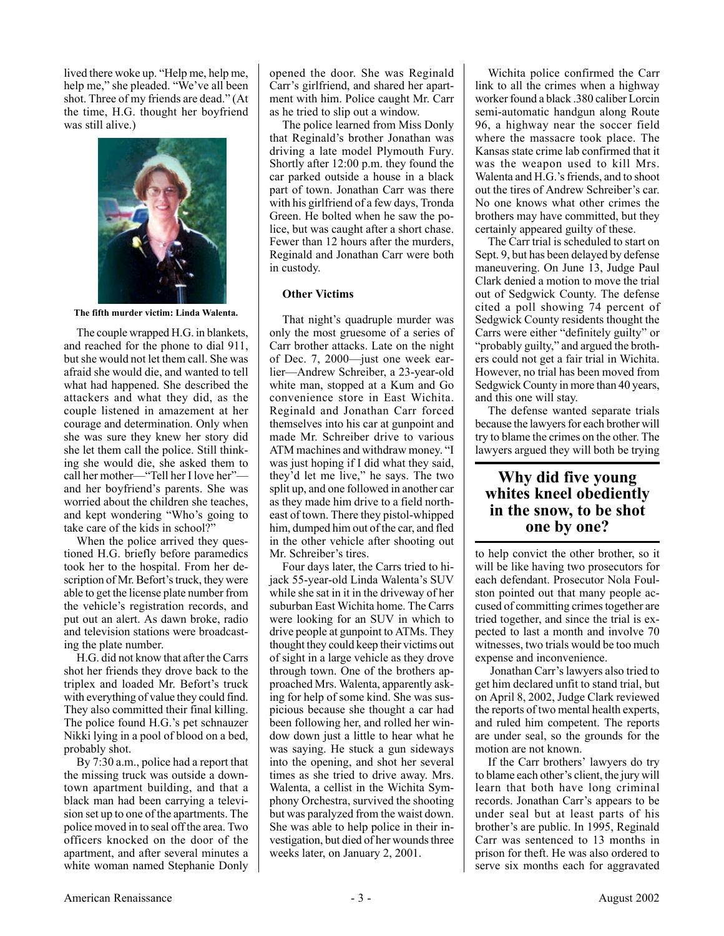lived there woke up. "Help me, help me, help me," she pleaded. "We've all been shot. Three of my friends are dead." (At the time, H.G. thought her boyfriend was still alive.)



**The fifth murder victim: Linda Walenta.**

The couple wrapped H.G. in blankets, and reached for the phone to dial 911, but she would not let them call. She was afraid she would die, and wanted to tell what had happened. She described the attackers and what they did, as the couple listened in amazement at her courage and determination. Only when she was sure they knew her story did she let them call the police. Still thinking she would die, she asked them to call her mother—"Tell her I love her" and her boyfriend's parents. She was worried about the children she teaches, and kept wondering "Who's going to take care of the kids in school?"

When the police arrived they questioned H.G. briefly before paramedics took her to the hospital. From her description of Mr. Befort's truck, they were able to get the license plate number from the vehicle's registration records, and put out an alert. As dawn broke, radio and television stations were broadcasting the plate number.

H.G. did not know that after the Carrs shot her friends they drove back to the triplex and loaded Mr. Befort's truck with everything of value they could find. They also committed their final killing. The police found H.G.'s pet schnauzer Nikki lying in a pool of blood on a bed, probably shot.

By 7:30 a.m., police had a report that the missing truck was outside a downtown apartment building, and that a black man had been carrying a television set up to one of the apartments. The police moved in to seal off the area. Two officers knocked on the door of the apartment, and after several minutes a white woman named Stephanie Donly opened the door. She was Reginald Carr's girlfriend, and shared her apartment with him. Police caught Mr. Carr as he tried to slip out a window.

The police learned from Miss Donly that Reginald's brother Jonathan was driving a late model Plymouth Fury. Shortly after 12:00 p.m. they found the car parked outside a house in a black part of town. Jonathan Carr was there with his girlfriend of a few days, Tronda Green. He bolted when he saw the police, but was caught after a short chase. Fewer than 12 hours after the murders, Reginald and Jonathan Carr were both in custody.

#### **Other Victims**

That night's quadruple murder was only the most gruesome of a series of Carr brother attacks. Late on the night of Dec. 7, 2000—just one week earlier—Andrew Schreiber, a 23-year-old white man, stopped at a Kum and Go convenience store in East Wichita. Reginald and Jonathan Carr forced themselves into his car at gunpoint and made Mr. Schreiber drive to various ATM machines and withdraw money. "I was just hoping if I did what they said, they'd let me live," he says. The two split up, and one followed in another car as they made him drive to a field northeast of town. There they pistol-whipped him, dumped him out of the car, and fled in the other vehicle after shooting out Mr. Schreiber's tires.

Four days later, the Carrs tried to hijack 55-year-old Linda Walenta's SUV while she sat in it in the driveway of her suburban East Wichita home. The Carrs were looking for an SUV in which to drive people at gunpoint to ATMs. They thought they could keep their victims out of sight in a large vehicle as they drove through town. One of the brothers approached Mrs. Walenta, apparently asking for help of some kind. She was suspicious because she thought a car had been following her, and rolled her window down just a little to hear what he was saying. He stuck a gun sideways into the opening, and shot her several times as she tried to drive away. Mrs. Walenta, a cellist in the Wichita Symphony Orchestra, survived the shooting but was paralyzed from the waist down. She was able to help police in their investigation, but died of her wounds three weeks later, on January 2, 2001.

Wichita police confirmed the Carr link to all the crimes when a highway worker found a black .380 caliber Lorcin semi-automatic handgun along Route 96, a highway near the soccer field where the massacre took place. The Kansas state crime lab confirmed that it was the weapon used to kill Mrs. Walenta and H.G.'s friends, and to shoot out the tires of Andrew Schreiber's car. No one knows what other crimes the brothers may have committed, but they certainly appeared guilty of these.

The Carr trial is scheduled to start on Sept. 9, but has been delayed by defense maneuvering. On June 13, Judge Paul Clark denied a motion to move the trial out of Sedgwick County. The defense cited a poll showing 74 percent of Sedgwick County residents thought the Carrs were either "definitely guilty" or "probably guilty," and argued the brothers could not get a fair trial in Wichita. However, no trial has been moved from Sedgwick County in more than 40 years, and this one will stay.

The defense wanted separate trials because the lawyers for each brother will try to blame the crimes on the other. The lawyers argued they will both be trying

## **Why did five young whites kneel obediently in the snow, to be shot one by one?**

to help convict the other brother, so it will be like having two prosecutors for each defendant. Prosecutor Nola Foulston pointed out that many people accused of committing crimes together are tried together, and since the trial is expected to last a month and involve 70 witnesses, two trials would be too much expense and inconvenience.

 Jonathan Carr's lawyers also tried to get him declared unfit to stand trial, but on April 8, 2002, Judge Clark reviewed the reports of two mental health experts, and ruled him competent. The reports are under seal, so the grounds for the motion are not known.

If the Carr brothers' lawyers do try to blame each other's client, the jury will learn that both have long criminal records. Jonathan Carr's appears to be under seal but at least parts of his brother's are public. In 1995, Reginald Carr was sentenced to 13 months in prison for theft. He was also ordered to serve six months each for aggravated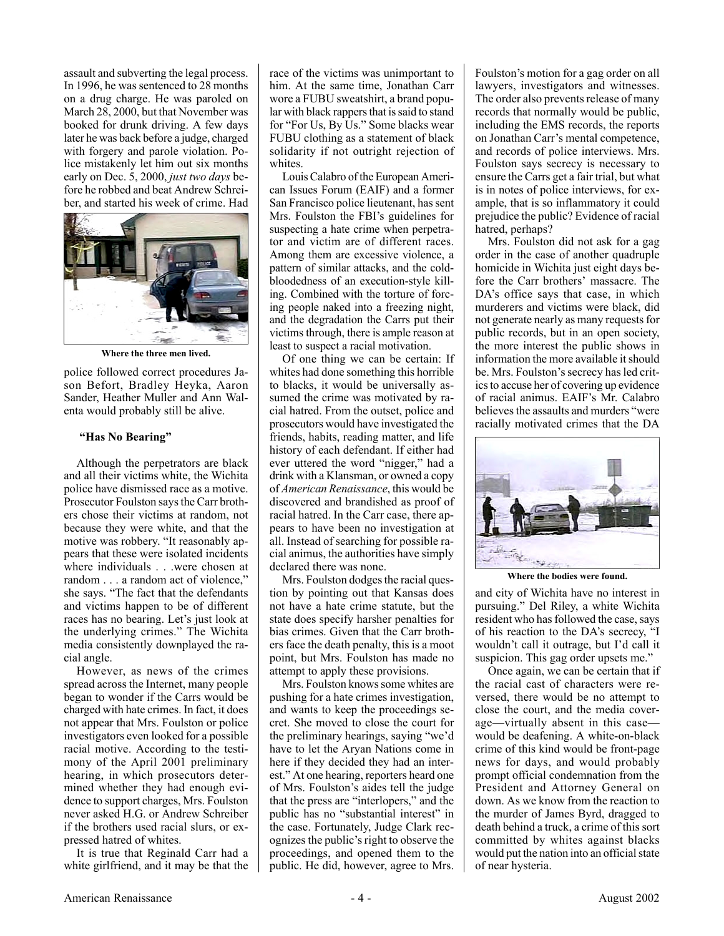assault and subverting the legal process. In 1996, he was sentenced to 28 months on a drug charge. He was paroled on March 28, 2000, but that November was booked for drunk driving. A few days later he was back before a judge, charged with forgery and parole violation. Police mistakenly let him out six months early on Dec. 5, 2000, *just two days* before he robbed and beat Andrew Schreiber, and started his week of crime. Had



**Where the three men lived.**

police followed correct procedures Jason Befort, Bradley Heyka, Aaron Sander, Heather Muller and Ann Walenta would probably still be alive.

#### **"Has No Bearing"**

Although the perpetrators are black and all their victims white, the Wichita police have dismissed race as a motive. Prosecutor Foulston says the Carr brothers chose their victims at random, not because they were white, and that the motive was robbery. "It reasonably appears that these were isolated incidents where individuals . . .were chosen at random . . . a random act of violence," she says. "The fact that the defendants and victims happen to be of different races has no bearing. Let's just look at the underlying crimes." The Wichita media consistently downplayed the racial angle.

However, as news of the crimes spread across the Internet, many people began to wonder if the Carrs would be charged with hate crimes. In fact, it does not appear that Mrs. Foulston or police investigators even looked for a possible racial motive. According to the testimony of the April 2001 preliminary hearing, in which prosecutors determined whether they had enough evidence to support charges, Mrs. Foulston never asked H.G. or Andrew Schreiber if the brothers used racial slurs, or expressed hatred of whites.

It is true that Reginald Carr had a white girlfriend, and it may be that the

race of the victims was unimportant to him. At the same time, Jonathan Carr wore a FUBU sweatshirt, a brand popular with black rappers that is said to stand for "For Us, By Us." Some blacks wear FUBU clothing as a statement of black solidarity if not outright rejection of whites.

Louis Calabro of the European American Issues Forum (EAIF) and a former San Francisco police lieutenant, has sent Mrs. Foulston the FBI's guidelines for suspecting a hate crime when perpetrator and victim are of different races. Among them are excessive violence, a pattern of similar attacks, and the coldbloodedness of an execution-style killing. Combined with the torture of forcing people naked into a freezing night, and the degradation the Carrs put their victims through, there is ample reason at least to suspect a racial motivation.

Of one thing we can be certain: If whites had done something this horrible to blacks, it would be universally assumed the crime was motivated by racial hatred. From the outset, police and prosecutors would have investigated the friends, habits, reading matter, and life history of each defendant. If either had ever uttered the word "nigger," had a drink with a Klansman, or owned a copy of *American Renaissance*, this would be discovered and brandished as proof of racial hatred. In the Carr case, there appears to have been no investigation at all. Instead of searching for possible racial animus, the authorities have simply declared there was none.

Mrs. Foulston dodges the racial question by pointing out that Kansas does not have a hate crime statute, but the state does specify harsher penalties for bias crimes. Given that the Carr brothers face the death penalty, this is a moot point, but Mrs. Foulston has made no attempt to apply these provisions.

Mrs. Foulston knows some whites are pushing for a hate crimes investigation, and wants to keep the proceedings secret. She moved to close the court for the preliminary hearings, saying "we'd have to let the Aryan Nations come in here if they decided they had an interest." At one hearing, reporters heard one of Mrs. Foulston's aides tell the judge that the press are "interlopers," and the public has no "substantial interest" in the case. Fortunately, Judge Clark recognizes the public's right to observe the proceedings, and opened them to the public. He did, however, agree to Mrs. Foulston's motion for a gag order on all lawyers, investigators and witnesses. The order also prevents release of many records that normally would be public, including the EMS records, the reports on Jonathan Carr's mental competence, and records of police interviews. Mrs. Foulston says secrecy is necessary to ensure the Carrs get a fair trial, but what is in notes of police interviews, for example, that is so inflammatory it could prejudice the public? Evidence of racial hatred, perhaps?

Mrs. Foulston did not ask for a gag order in the case of another quadruple homicide in Wichita just eight days before the Carr brothers' massacre. The DA's office says that case, in which murderers and victims were black, did not generate nearly as many requests for public records, but in an open society, the more interest the public shows in information the more available it should be. Mrs. Foulston's secrecy has led critics to accuse her of covering up evidence of racial animus. EAIF's Mr. Calabro believes the assaults and murders "were racially motivated crimes that the DA



**Where the bodies were found.**

and city of Wichita have no interest in pursuing." Del Riley, a white Wichita resident who has followed the case, says of his reaction to the DA's secrecy, "I wouldn't call it outrage, but I'd call it suspicion. This gag order upsets me."

Once again, we can be certain that if the racial cast of characters were reversed, there would be no attempt to close the court, and the media coverage—virtually absent in this case would be deafening. A white-on-black crime of this kind would be front-page news for days, and would probably prompt official condemnation from the President and Attorney General on down. As we know from the reaction to the murder of James Byrd, dragged to death behind a truck, a crime of this sort committed by whites against blacks would put the nation into an official state of near hysteria.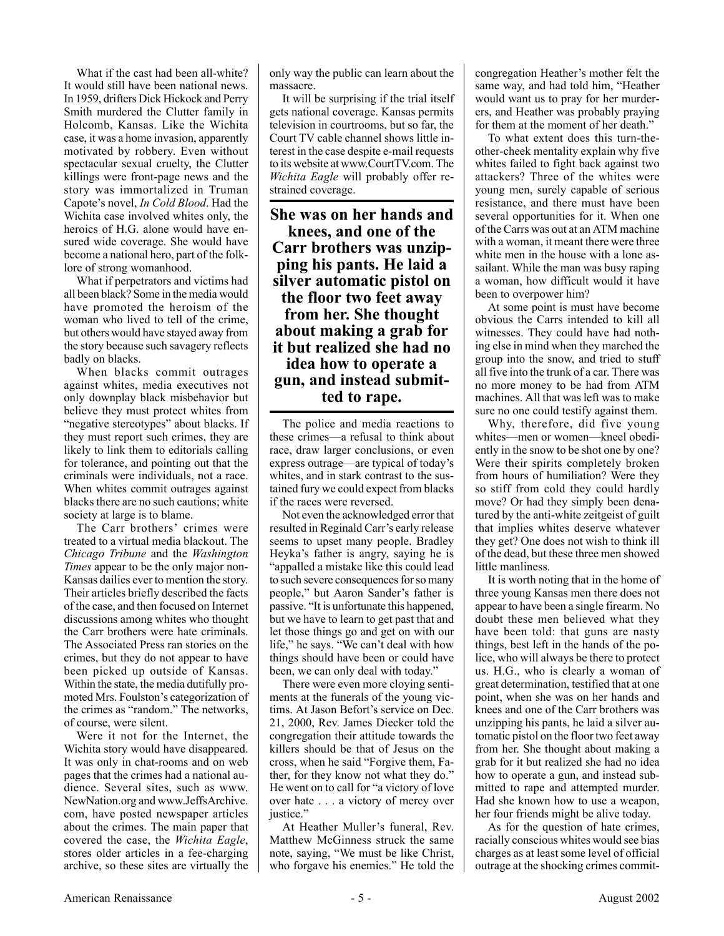What if the cast had been all-white? It would still have been national news. In 1959, drifters Dick Hickock and Perry Smith murdered the Clutter family in Holcomb, Kansas. Like the Wichita case, it was a home invasion, apparently motivated by robbery. Even without spectacular sexual cruelty, the Clutter killings were front-page news and the story was immortalized in Truman Capote's novel, *In Cold Blood*. Had the Wichita case involved whites only, the heroics of H.G. alone would have ensured wide coverage. She would have become a national hero, part of the folklore of strong womanhood.

What if perpetrators and victims had all been black? Some in the media would have promoted the heroism of the woman who lived to tell of the crime, but others would have stayed away from the story because such savagery reflects badly on blacks.

When blacks commit outrages against whites, media executives not only downplay black misbehavior but believe they must protect whites from "negative stereotypes" about blacks. If they must report such crimes, they are likely to link them to editorials calling for tolerance, and pointing out that the criminals were individuals, not a race. When whites commit outrages against blacks there are no such cautions; white society at large is to blame.

The Carr brothers' crimes were treated to a virtual media blackout. The *Chicago Tribune* and the *Washington Times* appear to be the only major non-Kansas dailies ever to mention the story. Their articles briefly described the facts of the case, and then focused on Internet discussions among whites who thought the Carr brothers were hate criminals. The Associated Press ran stories on the crimes, but they do not appear to have been picked up outside of Kansas. Within the state, the media dutifully promoted Mrs. Foulston's categorization of the crimes as "random." The networks, of course, were silent.

Were it not for the Internet, the Wichita story would have disappeared. It was only in chat-rooms and on web pages that the crimes had a national audience. Several sites, such as www. NewNation.org and www.JeffsArchive. com, have posted newspaper articles about the crimes. The main paper that covered the case, the *Wichita Eagle*, stores older articles in a fee-charging archive, so these sites are virtually the only way the public can learn about the massacre.

It will be surprising if the trial itself gets national coverage. Kansas permits television in courtrooms, but so far, the Court TV cable channel shows little interest in the case despite e-mail requests to its website at www.CourtTV.com. The *Wichita Eagle* will probably offer restrained coverage.

**She was on her hands and knees, and one of the Carr brothers was unzipping his pants. He laid a silver automatic pistol on the floor two feet away from her. She thought about making a grab for it but realized she had no idea how to operate a gun, and instead submitted to rape.**

The police and media reactions to these crimes—a refusal to think about race, draw larger conclusions, or even express outrage—are typical of today's whites, and in stark contrast to the sustained fury we could expect from blacks if the races were reversed.

Not even the acknowledged error that resulted in Reginald Carr's early release seems to upset many people. Bradley Heyka's father is angry, saying he is "appalled a mistake like this could lead to such severe consequences for so many people," but Aaron Sander's father is passive. "It is unfortunate this happened, but we have to learn to get past that and let those things go and get on with our life," he says. "We can't deal with how things should have been or could have been, we can only deal with today."

There were even more cloying sentiments at the funerals of the young victims. At Jason Befort's service on Dec. 21, 2000, Rev. James Diecker told the congregation their attitude towards the killers should be that of Jesus on the cross, when he said "Forgive them, Father, for they know not what they do." He went on to call for "a victory of love over hate . . . a victory of mercy over justice."

At Heather Muller's funeral, Rev. Matthew McGinness struck the same note, saying, "We must be like Christ, who forgave his enemies." He told the congregation Heather's mother felt the same way, and had told him, "Heather would want us to pray for her murderers, and Heather was probably praying for them at the moment of her death."

To what extent does this turn-theother-cheek mentality explain why five whites failed to fight back against two attackers? Three of the whites were young men, surely capable of serious resistance, and there must have been several opportunities for it. When one of the Carrs was out at an ATM machine with a woman, it meant there were three white men in the house with a lone assailant. While the man was busy raping a woman, how difficult would it have been to overpower him?

At some point is must have become obvious the Carrs intended to kill all witnesses. They could have had nothing else in mind when they marched the group into the snow, and tried to stuff all five into the trunk of a car. There was no more money to be had from ATM machines. All that was left was to make sure no one could testify against them.

Why, therefore, did five young whites—men or women—kneel obediently in the snow to be shot one by one? Were their spirits completely broken from hours of humiliation? Were they so stiff from cold they could hardly move? Or had they simply been denatured by the anti-white zeitgeist of guilt that implies whites deserve whatever they get? One does not wish to think ill of the dead, but these three men showed little manliness.

It is worth noting that in the home of three young Kansas men there does not appear to have been a single firearm. No doubt these men believed what they have been told: that guns are nasty things, best left in the hands of the police, who will always be there to protect us. H.G., who is clearly a woman of great determination, testified that at one point, when she was on her hands and knees and one of the Carr brothers was unzipping his pants, he laid a silver automatic pistol on the floor two feet away from her. She thought about making a grab for it but realized she had no idea how to operate a gun, and instead submitted to rape and attempted murder. Had she known how to use a weapon, her four friends might be alive today.

As for the question of hate crimes, racially conscious whites would see bias charges as at least some level of official outrage at the shocking crimes commit